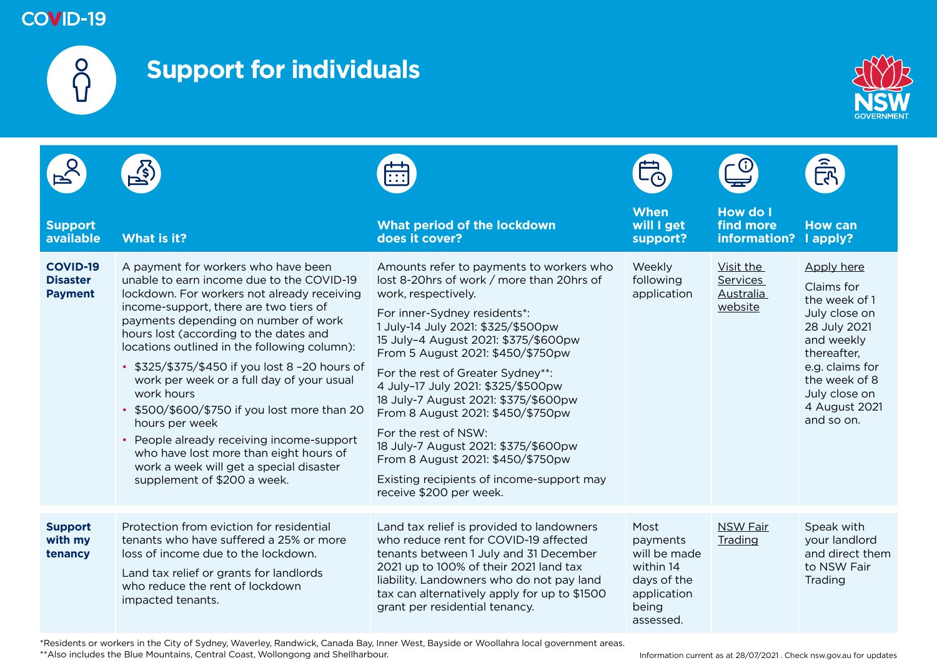

# **Support for individuals**



| <b>Support</b><br>available                          | What is it?                                                                                                                                                                                                                                                                                                                                                                                                                                                                                                                                                                                                                                                | What period of the lockdown<br>does it cover?                                                                                                                                                                                                                                                                                                                                                                                                                                                                                                                                                        | <b>When</b><br>will I get<br>support?                                                             | <b>How do I</b><br>find more<br>information?         | <b>How can</b><br>I apply?                                                                                                                                                                  |
|------------------------------------------------------|------------------------------------------------------------------------------------------------------------------------------------------------------------------------------------------------------------------------------------------------------------------------------------------------------------------------------------------------------------------------------------------------------------------------------------------------------------------------------------------------------------------------------------------------------------------------------------------------------------------------------------------------------------|------------------------------------------------------------------------------------------------------------------------------------------------------------------------------------------------------------------------------------------------------------------------------------------------------------------------------------------------------------------------------------------------------------------------------------------------------------------------------------------------------------------------------------------------------------------------------------------------------|---------------------------------------------------------------------------------------------------|------------------------------------------------------|---------------------------------------------------------------------------------------------------------------------------------------------------------------------------------------------|
| <b>COVID-19</b><br><b>Disaster</b><br><b>Payment</b> | A payment for workers who have been<br>unable to earn income due to the COVID-19<br>lockdown. For workers not already receiving<br>income-support, there are two tiers of<br>payments depending on number of work<br>hours lost (according to the dates and<br>locations outlined in the following column):<br>• \$325/\$375/\$450 if you lost 8-20 hours of<br>work per week or a full day of your usual<br>work hours<br>• \$500/\$600/\$750 if you lost more than 20<br>hours per week<br>• People already receiving income-support<br>who have lost more than eight hours of<br>work a week will get a special disaster<br>supplement of \$200 a week. | Amounts refer to payments to workers who<br>lost 8-20hrs of work / more than 20hrs of<br>work, respectively.<br>For inner-Sydney residents*:<br>1 July-14 July 2021: \$325/\$500pw<br>15 July-4 August 2021: \$375/\$600pw<br>From 5 August 2021: \$450/\$750pw<br>For the rest of Greater Sydney**:<br>4 July-17 July 2021: \$325/\$500pw<br>18 July-7 August 2021: \$375/\$600pw<br>From 8 August 2021: \$450/\$750pw<br>For the rest of NSW:<br>18 July-7 August 2021: \$375/\$600pw<br>From 8 August 2021: \$450/\$750pw<br>Existing recipients of income-support may<br>receive \$200 per week. | Weekly<br>following<br>application                                                                | Visit the<br><b>Services</b><br>Australia<br>website | Apply here<br>Claims for<br>the week of 1<br>July close on<br>28 July 2021<br>and weekly<br>thereafter.<br>e.g. claims for<br>the week of 8<br>July close on<br>4 August 2021<br>and so on. |
| <b>Support</b><br>with my<br>tenancy                 | Protection from eviction for residential<br>tenants who have suffered a 25% or more<br>loss of income due to the lockdown.<br>Land tax relief or grants for landlords<br>who reduce the rent of lockdown<br>impacted tenants.                                                                                                                                                                                                                                                                                                                                                                                                                              | Land tax relief is provided to landowners<br>who reduce rent for COVID-19 affected<br>tenants between 1 July and 31 December<br>2021 up to 100% of their 2021 land tax<br>liability. Landowners who do not pay land<br>tax can alternatively apply for up to \$1500<br>grant per residential tenancy.                                                                                                                                                                                                                                                                                                | Most<br>payments<br>will be made<br>within 14<br>days of the<br>application<br>being<br>assessed. | <b>NSW Fair</b><br>Trading                           | Speak with<br>your landlord<br>and direct them<br>to NSW Fair<br>Trading                                                                                                                    |

\*Residents or workers in the City of Sydney, Waverley, Randwick, Canada Bay, Inner West, Bayside or Woollahra local government areas. \*\*Also includes the Blue Mountains, Central Coast, Wollongong and Shellharbour.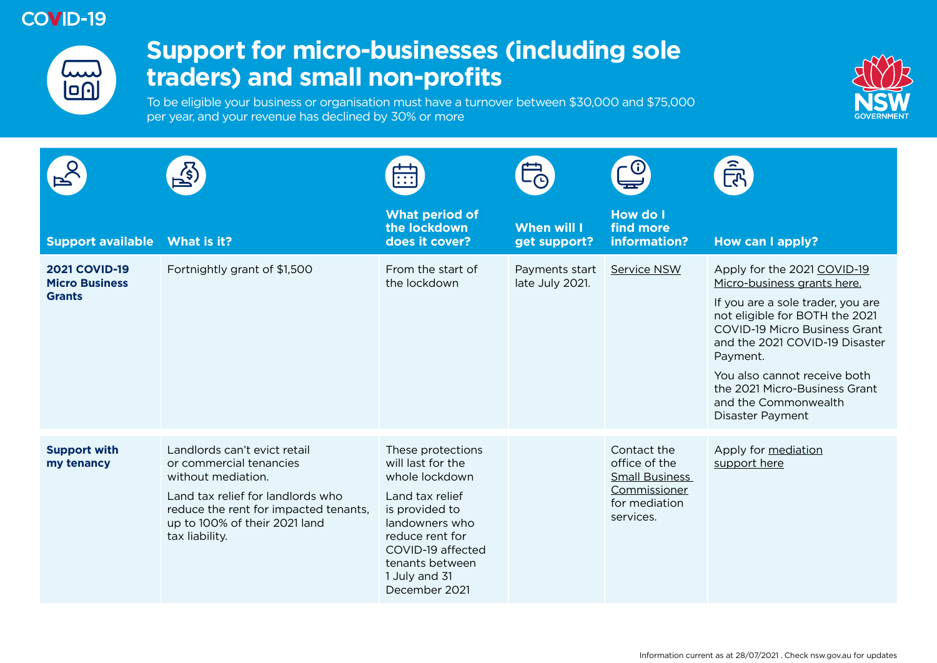

## **Support for micro-businesses (including sole traders) and small non-profits**

To be eligible your business or organisation must have a turnover between \$30,000 and \$75,000 per year, and your revenue has declined by 30% or more



|                                                                |                                                                                                                                                                                                                | $\overline{\cdots}$                                                                                                                                                                                          |                                    |                                                                                                     | <u>हिप</u>                                                                                                                                                                                                                                                                                                                           |
|----------------------------------------------------------------|----------------------------------------------------------------------------------------------------------------------------------------------------------------------------------------------------------------|--------------------------------------------------------------------------------------------------------------------------------------------------------------------------------------------------------------|------------------------------------|-----------------------------------------------------------------------------------------------------|--------------------------------------------------------------------------------------------------------------------------------------------------------------------------------------------------------------------------------------------------------------------------------------------------------------------------------------|
| <b>Support available</b>                                       | What is it?                                                                                                                                                                                                    | <b>What period of</b><br>the lockdown<br>does it cover?                                                                                                                                                      | <b>When will I</b><br>get support? | <b>How do I</b><br>find more<br>information?                                                        | How can I apply?                                                                                                                                                                                                                                                                                                                     |
| <b>2021 COVID-19</b><br><b>Micro Business</b><br><b>Grants</b> | Fortnightly grant of \$1,500                                                                                                                                                                                   | From the start of<br>the lockdown                                                                                                                                                                            | Payments start<br>late July 2021.  | <b>Service NSW</b>                                                                                  | Apply for the 2021 COVID-19<br>Micro-business grants here.<br>If you are a sole trader, you are<br>not eligible for BOTH the 2021<br><b>COVID-19 Micro Business Grant</b><br>and the 2021 COVID-19 Disaster<br>Payment.<br>You also cannot receive both<br>the 2021 Micro-Business Grant<br>and the Commonwealth<br>Disaster Payment |
| <b>Support with</b><br>my tenancy                              | Landlords can't evict retail<br>or commercial tenancies<br>without mediation.<br>Land tax relief for landlords who<br>reduce the rent for impacted tenants,<br>up to 100% of their 2021 land<br>tax liability. | These protections<br>will last for the<br>whole lockdown<br>Land tax relief<br>is provided to<br>landowners who<br>reduce rent for<br>COVID-19 affected<br>tenants between<br>1 July and 31<br>December 2021 |                                    | Contact the<br>office of the<br><b>Small Business</b><br>Commissioner<br>for mediation<br>services. | Apply for mediation<br>support here                                                                                                                                                                                                                                                                                                  |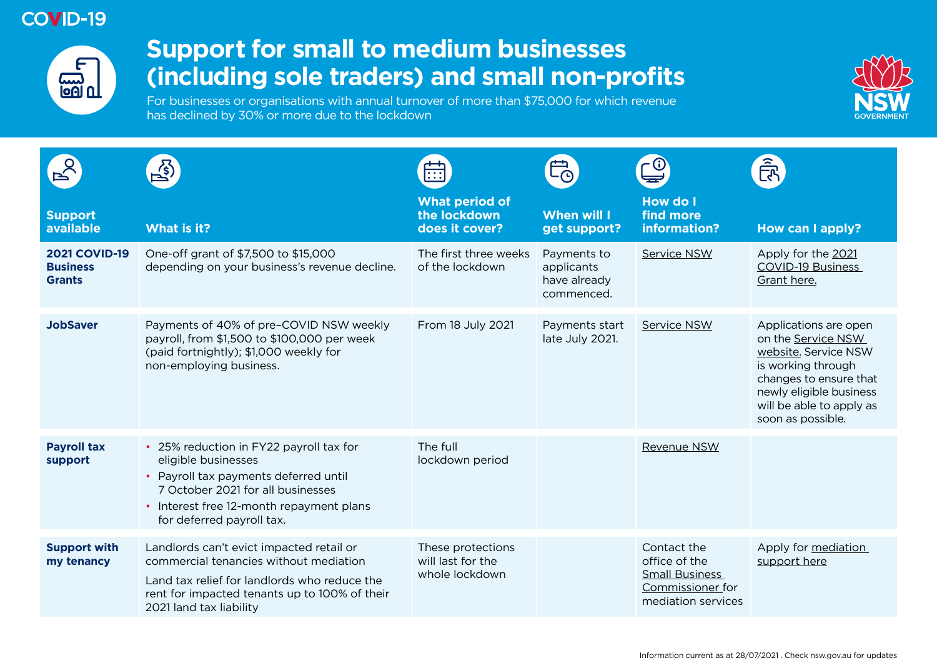

## **Support for small to medium businesses (including sole traders) and small non-profits**

For businesses or organisations with annual turnover of more than \$75,000 for which revenue has declined by 30% or more due to the lockdown



|                                                          | $\mathbb{Z}$                                                                                                                                                                                                          | $\overline{\cdots}$                                      |                                                         |                                                                                                 | _{r                                                                                                                                                                                             |
|----------------------------------------------------------|-----------------------------------------------------------------------------------------------------------------------------------------------------------------------------------------------------------------------|----------------------------------------------------------|---------------------------------------------------------|-------------------------------------------------------------------------------------------------|-------------------------------------------------------------------------------------------------------------------------------------------------------------------------------------------------|
| <b>Support</b><br>available                              | <b>What is it?</b>                                                                                                                                                                                                    | <b>What period of</b><br>the lockdown<br>does it cover?  | <b>When will I</b><br>get support?                      | <b>How do I</b><br>find more<br>information?                                                    | <b>How can I apply?</b>                                                                                                                                                                         |
| <b>2021 COVID-19</b><br><b>Business</b><br><b>Grants</b> | One-off grant of \$7,500 to \$15,000<br>depending on your business's revenue decline.                                                                                                                                 | The first three weeks<br>of the lockdown                 | Payments to<br>applicants<br>have already<br>commenced. | Service NSW                                                                                     | Apply for the 2021<br><b>COVID-19 Business</b><br>Grant here.                                                                                                                                   |
| <b>JobSaver</b>                                          | Payments of 40% of pre-COVID NSW weekly<br>payroll, from \$1,500 to \$100,000 per week<br>(paid fortnightly); \$1,000 weekly for<br>non-employing business.                                                           | From 18 July 2021                                        | Payments start<br>late July 2021.                       | Service NSW                                                                                     | Applications are open<br>on the Service NSW<br>website. Service NSW<br>is working through<br>changes to ensure that<br>newly eligible business<br>will be able to apply as<br>soon as possible. |
| <b>Payroll tax</b><br>support                            | • 25% reduction in FY22 payroll tax for<br>eligible businesses<br>• Payroll tax payments deferred until<br>7 October 2021 for all businesses<br>• Interest free 12-month repayment plans<br>for deferred payroll tax. | The full<br>lockdown period                              |                                                         | Revenue NSW                                                                                     |                                                                                                                                                                                                 |
| <b>Support with</b><br>my tenancy                        | Landlords can't evict impacted retail or<br>commercial tenancies without mediation<br>Land tax relief for landlords who reduce the<br>rent for impacted tenants up to 100% of their<br>2021 land tax liability        | These protections<br>will last for the<br>whole lockdown |                                                         | Contact the<br>office of the<br><b>Small Business</b><br>Commissioner for<br>mediation services | Apply for mediation<br>support here                                                                                                                                                             |